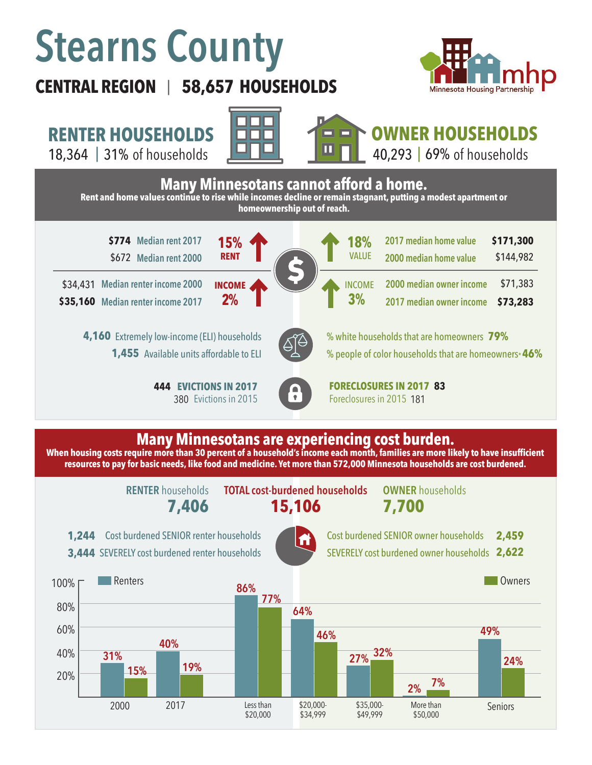# **Stearns County**

# **CENTRAL REGION 58,657 HOUSEHOLDS**  |



**RENTER HOUSEHOLDS**

18,364 | 31% of households **| UNIMER | 18,364 | 31% of households** 





**OWNER HOUSEHOLDS**

40,293 | 69% of households



### **Many Minnesotans are experiencing cost burden.**

**When housing costs require more than 30 percent of a household's income each month, families are more likely to have insufficient resources to pay for basic needs, like food and medicine. Yet more than 572,000 Minnesota households are cost burdened.**